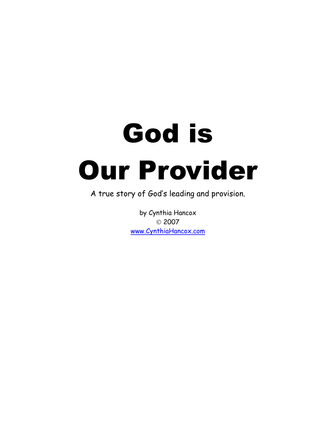# God is Our Provider

A true story of God's leading and provision.

by Cynthia Hancox © 2007 www.CynthiaHancox.com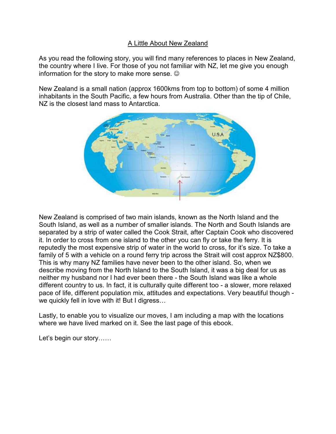# A Little About New Zealand

As you read the following story, you will find many references to places in New Zealand, the country where I live. For those of you not familiar with NZ, let me give you enough information for the story to make more sense.  $\odot$ 

New Zealand is a small nation (approx 1600kms from top to bottom) of some 4 million inhabitants in the South Pacific, a few hours from Australia. Other than the tip of Chile, NZ is the closest land mass to Antarctica.



New Zealand is comprised of two main islands, known as the North Island and the South Island, as well as a number of smaller islands. The North and South Islands are separated by a strip of water called the Cook Strait, after Captain Cook who discovered it. In order to cross from one island to the other you can fly or take the ferry. It is reputedly the most expensive strip of water in the world to cross, for it's size. To take a family of 5 with a vehicle on a round ferry trip across the Strait will cost approx NZ\$800. This is why many NZ families have never been to the other island. So, when we describe moving from the North Island to the South Island, it was a big deal for us as neither my husband nor I had ever been there - the South Island was like a whole different country to us. In fact, it is culturally quite different too - a slower, more relaxed pace of life, different population mix, attitudes and expectations. Very beautiful though we quickly fell in love with it! But I digress...

Lastly, to enable you to visualize our moves, I am including a map with the locations where we have lived marked on it. See the last page of this ebook.

Let's begin our story......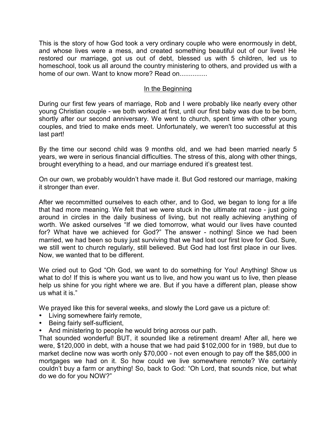This is the story of how God took a very ordinary couple who were enormously in debt, and whose lives were a mess, and created something beautiful out of our lives! He restored our marriage, got us out of debt, blessed us with 5 children, led us to homeschool, took us all around the country ministering to others, and provided us with a home of our own. Want to know more? Read on...............

## In the Beginning

During our first few years of marriage, Rob and I were probably like nearly every other young Christian couple - we both worked at first, until our first baby was due to be born, shortly after our second anniversary. We went to church, spent time with other young couples, and tried to make ends meet. Unfortunately, we weren't too successful at this last part!

By the time our second child was 9 months old, and we had been married nearly 5 years, we were in serious financial difficulties. The stress of this, along with other things, brought everything to a head, and our marriage endured it's greatest test.

On our own, we probably wouldn't have made it. But God restored our marriage, making it stronger than ever.

After we recommitted ourselves to each other, and to God, we began to long for a life that had more meaning. We felt that we were stuck in the ultimate rat race - just going around in circles in the daily business of living, but not really achieving anything of worth. We asked ourselves "If we died tomorrow, what would our lives have counted for? What have we achieved for God?" The answer - nothing! Since we had been married, we had been so busy just surviving that we had lost our first love for God. Sure, we still went to church regularly, still believed. But God had lost first place in our lives. Now, we wanted that to be different.

We cried out to God "Oh God, we want to do something for You! Anything! Show us what to do! If this is where you want us to live, and how you want us to live, then please help us shine for you right where we are. But if you have a different plan, please show us what it is."

We prayed like this for several weeks, and slowly the Lord gave us a picture of:

- Living somewhere fairly remote,
- Being fairly self-sufficient,
- And ministering to people he would bring across our path.

That sounded wonderful! BUT, it sounded like a retirement dream! After all, here we were, \$120,000 in debt, with a house that we had paid \$102,000 for in 1989, but due to market decline now was worth only \$70,000 - not even enough to pay off the \$85,000 in mortgages we had on it. So how could we live somewhere remote? We certainly couldn't buy a farm or anything! So, back to God: "Oh Lord, that sounds nice, but what do we do for you NOW?"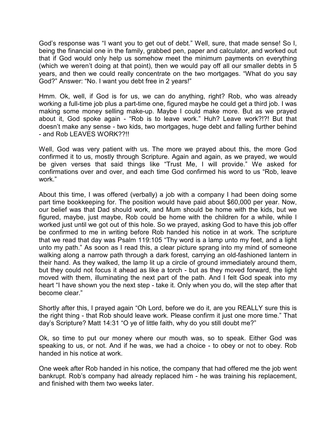God's response was "I want you to get out of debt." Well, sure, that made sense! So I, being the financial one in the family, grabbed pen, paper and calculator, and worked out that if God would only help us somehow meet the minimum payments on everything (which we weren't doing at that point), then we would pay off all our smaller debts in 5 years, and then we could really concentrate on the two mortgages. "What do you say God?" Answer: "No. I want you debt free in 2 years!"

Hmm. Ok, well, if God is for us, we can do anything, right? Rob, who was already working a full-time job plus a part-time one, figured maybe he could get a third job. I was making some money selling make-up. Maybe I could make more. But as we prayed about it, God spoke again - "Rob is to leave work." Huh? Leave work?!?! But that doesn't make any sense - two kids, two mortgages, huge debt and falling further behind - and Rob LEAVES WORK??!!

Well, God was very patient with us. The more we prayed about this, the more God confirmed it to us, mostly through Scripture. Again and again, as we prayed, we would be given verses that said things like "Trust Me, I will provide." We asked for confirmations over and over, and each time God confirmed his word to us "Rob, leave work."

About this time, I was offered (verbally) a job with a company I had been doing some part time bookkeeping for. The position would have paid about \$60,000 per year. Now, our belief was that Dad should work, and Mum should be home with the kids, but we figured, maybe, just maybe, Rob could be home with the children for a while, while I worked just until we got out of this hole. So we prayed, asking God to have this job offer be confirmed to me in writing before Rob handed his notice in at work. The scripture that we read that day was Psalm 119:105 "Thy word is a lamp unto my feet, and a light unto my path." As soon as I read this, a clear picture sprang into my mind of someone walking along a narrow path through a dark forest, carrying an old-fashioned lantern in their hand. As they walked, the lamp lit up a circle of ground immediately around them, but they could not focus it ahead as like a torch - but as they moved forward, the light moved with them, illuminating the next part of the path. And I felt God speak into my heart "I have shown you the next step - take it. Only when you do, will the step after that become clear."

Shortly after this, I prayed again "Oh Lord, before we do it, are you REALLY sure this is the right thing - that Rob should leave work. Please confirm it just one more time." That day's Scripture? Matt 14:31 "O ye of little faith, why do you still doubt me?"

Ok, so time to put our money where our mouth was, so to speak. Either God was speaking to us, or not. And if he was, we had a choice - to obey or not to obey. Rob handed in his notice at work.

One week after Rob handed in his notice, the company that had offered me the job went bankrupt. Rob's company had already replaced him - he was training his replacement, and finished with them two weeks later.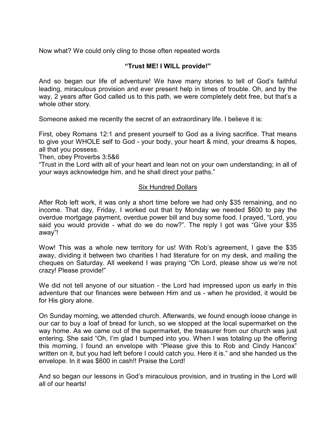Now what? We could only cling to those often repeated words

# **"Trust ME! I WILL provide!"**

And so began our life of adventure! We have many stories to tell of God's faithful leading, miraculous provision and ever present help in times of trouble. Oh, and by the way, 2 years after God called us to this path, we were completely debt free, but that's a whole other story.

Someone asked me recently the secret of an extraordinary life. I believe it is:

First, obey Romans 12:1 and present yourself to God as a living sacrifice. That means to give your WHOLE self to God - your body, your heart & mind, your dreams & hopes, all that you possess.

Then, obey Proverbs 3:5&6

"Trust in the Lord with all of your heart and lean not on your own understanding; in all of your ways acknowledge him, and he shall direct your paths."

## Six Hundred Dollars

After Rob left work, it was only a short time before we had only \$35 remaining, and no income. That day, Friday, I worked out that by Monday we needed \$600 to pay the overdue mortgage payment, overdue power bill and buy some food. I prayed, "Lord, you said you would provide - what do we do now?". The reply I got was "Give your \$35 away"!

Wow! This was a whole new territory for us! With Rob's agreement, I gave the \$35 away, dividing it between two charities I had literature for on my desk, and mailing the cheques on Saturday. All weekend I was praying "Oh Lord, please show us we're not crazy! Please provide!"

We did not tell anyone of our situation - the Lord had impressed upon us early in this adventure that our finances were between Him and us - when he provided, it would be for His glory alone.

On Sunday morning, we attended church. Afterwards, we found enough loose change in our car to buy a loaf of bread for lunch, so we stopped at the local supermarket on the way home. As we came out of the supermarket, the treasurer from our church was just entering. She said "Oh, I'm glad I bumped into you. When I was totaling up the offering this morning, I found an envelope with "Please give this to Rob and Cindy Hancox" written on it, but you had left before I could catch you. Here it is." and she handed us the envelope. In it was \$600 in cash!! Praise the Lord!

And so began our lessons in God's miraculous provision, and in trusting in the Lord will all of our hearts!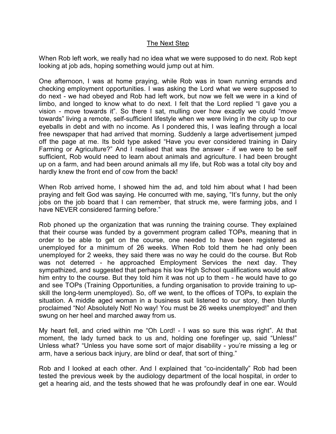# The Next Step

When Rob left work, we really had no idea what we were supposed to do next. Rob kept looking at job ads, hoping something would jump out at him.

One afternoon, I was at home praying, while Rob was in town running errands and checking employment opportunities. I was asking the Lord what we were supposed to do next - we had obeyed and Rob had left work, but now we felt we were in a kind of limbo, and longed to know what to do next. I felt that the Lord replied "I gave you a vision - move towards it". So there I sat, mulling over how exactly we could "move towards" living a remote, self-sufficient lifestyle when we were living in the city up to our eyeballs in debt and with no income. As I pondered this, I was leafing through a local free newspaper that had arrived that morning. Suddenly a large advertisement jumped off the page at me. Its bold type asked "Have you ever considered training in Dairy Farming or Agriculture?" And I realised that was the answer - if we were to be self sufficient, Rob would need to learn about animals and agriculture. I had been brought up on a farm, and had been around animals all my life, but Rob was a total city boy and hardly knew the front end of cow from the back!

When Rob arrived home, I showed him the ad, and told him about what I had been praying and felt God was saying. He concurred with me, saying, "It's funny, but the only jobs on the job board that I can remember, that struck me, were farming jobs, and I have NEVER considered farming before."

Rob phoned up the organization that was running the training course. They explained that their course was funded by a government program called TOPs, meaning that in order to be able to get on the course, one needed to have been registered as unemployed for a minimum of 26 weeks. When Rob told them he had only been unemployed for 2 weeks, they said there was no way he could do the course. But Rob was not deterred - he approached Employment Services the next day. They sympathized, and suggested that perhaps his low High School qualifications would allow him entry to the course. But they told him it was not up to them - he would have to go and see TOPs (Training Opportunities, a funding organisation to provide training to upskill the long-term unemployed). So, off we went, to the offices of TOPs, to explain the situation. A middle aged woman in a business suit listened to our story, then bluntly proclaimed "No! Absolutely Not! No way! You must be 26 weeks unemployed!" and then swung on her heel and marched away from us.

My heart fell, and cried within me "Oh Lord! - I was so sure this was right". At that moment, the lady turned back to us and, holding one forefinger up, said "Unless!" Unless what? "Unless you have some sort of major disability - you're missing a leg or arm, have a serious back injury, are blind or deaf, that sort of thing."

Rob and I looked at each other. And I explained that "co-incidentally" Rob had been tested the previous week by the audiology department of the local hospital, in order to get a hearing aid, and the tests showed that he was profoundly deaf in one ear. Would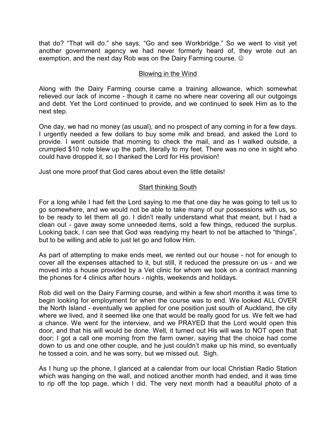that do? "That will do." she says, "Go and see Workbridge." So we went to visit yet another government agency we had never formerly heard of, they wrote out an exemption, and the next day Rob was on the Dairy Farming course.  $\odot$ 

# Blowing in the Wind

Along with the Dairy Farming course came a training allowance, which somewhat relieved our lack of income - though it came no where near covering all our outgoings and debt. Yet the Lord continued to provide, and we continued to seek Him as to the next step.

One day, we had no money (as usual), and no prospect of any coming in for a few days. I urgently needed a few dollars to buy some milk and bread, and asked the Lord to provide. I went outside that morning to check the mail, and as I walked outside, a crumpled \$10 note blew up the path, literally to my feet. There was no one in sight who could have dropped it, so I thanked the Lord for His provision!

Just one more proof that God cares about even the little details!

# Start thinking South

For a long while I had felt the Lord saying to me that one day he was going to tell us to go somewhere, and we would not be able to take many of our possessions with us, so to be ready to let them all go. I didn't really understand what that meant, but I had a clean out - gave away some unneeded items, sold a few things, reduced the surplus. Looking back, I can see that God was readying my heart to not be attached to "things", but to be willing and able to just let go and follow Him.

As part of attempting to make ends meet, we rented out our house - not for enough to cover all the expenses attached to it, but still, it reduced the pressure on us - and we moved into a house provided by a Vet clinic for whom we took on a contract manning the phones for 4 clinics after hours - nights, weekends and holidays.

Rob did well on the Dairy Farming course, and within a few short months it was time to begin looking for employment for when the course was to end. We looked ALL OVER the North Island - eventually we applied for one position just south of Auckland, the city where we lived, and it seemed like one that would be really good for us. We felt we had a chance. We went for the interview, and we PRAYED that the Lord would open this door, and that his will would be done. Well, it turned out His will was to NOT open that door; I got a call one morning from the farm owner, saying that the choice had come down to us and one other couple, and he just couldn't make up his mind, so eventually he tossed a coin, and he was sorry, but we missed out. Sigh.

As I hung up the phone, I glanced at a calendar from our local Christian Radio Station which was hanging on the wall, and noticed another month had ended, and it was time to rip off the top page, which I did. The very next month had a beautiful photo of a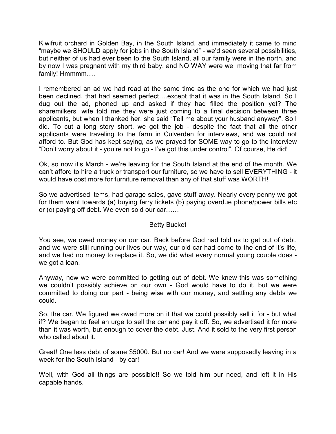Kiwifruit orchard in Golden Bay, in the South Island, and immediately it came to mind "maybe we SHOULD apply for jobs in the South Island" - we'd seen several possibilities, but neither of us had ever been to the South Island, all our family were in the north, and by now I was pregnant with my third baby, and NO WAY were we moving that far from family! Hmmmm....

I remembered an ad we had read at the same time as the one for which we had just been declined, that had seemed perfect....except that it was in the South Island. So I dug out the ad, phoned up and asked if they had filled the position yet? The sharemilkers wife told me they were just coming to a final decision between three applicants, but when I thanked her, she said "Tell me about your husband anyway". So I did. To cut a long story short, we got the job - despite the fact that all the other applicants were traveling to the farm in Culverden for interviews, and we could not afford to. But God has kept saying, as we prayed for SOME way to go to the interview "Don't worry about it - you're not to go - I've got this under control". Of course, He did!

Ok, so now it's March - we're leaving for the South Island at the end of the month. We can't afford to hire a truck or transport our furniture, so we have to sell EVERYTHING - it would have cost more for furniture removal than any of that stuff was WORTH!

So we advertised items, had garage sales, gave stuff away. Nearly every penny we got for them went towards (a) buying ferry tickets (b) paying overdue phone/power bills etc or (c) paying off debt. We even sold our car......

# Betty Bucket

You see, we owed money on our car. Back before God had told us to get out of debt, and we were still running our lives our way, our old car had come to the end of it's life, and we had no money to replace it. So, we did what every normal young couple does we got a loan.

Anyway, now we were committed to getting out of debt. We knew this was something we couldn't possibly achieve on our own - God would have to do it, but we were committed to doing our part - being wise with our money, and settling any debts we could.

So, the car. We figured we owed more on it that we could possibly sell it for - but what if? We began to feel an urge to sell the car and pay it off. So, we advertised it for more than it was worth, but enough to cover the debt. Just. And it sold to the very first person who called about it.

Great! One less debt of some \$5000. But no car! And we were supposedly leaving in a week for the South Island - by car!

Well, with God all things are possible!! So we told him our need, and left it in His capable hands.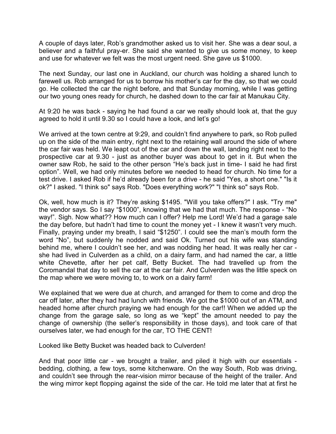A couple of days later, Rob's grandmother asked us to visit her. She was a dear soul, a believer and a faithful pray-er. She said she wanted to give us some money, to keep and use for whatever we felt was the most urgent need. She gave us \$1000.

The next Sunday, our last one in Auckland, our church was holding a shared lunch to farewell us. Rob arranged for us to borrow his mother's car for the day, so that we could go. He collected the car the night before, and that Sunday morning, while I was getting our two young ones ready for church, he dashed down to the car fair at Manukau City.

At 9:20 he was back - saying he had found a car we really should look at, that the guy agreed to hold it until 9.30 so I could have a look, and let's go!

We arrived at the town centre at 9:29, and couldn't find anywhere to park, so Rob pulled up on the side of the main entry, right next to the retaining wall around the side of where the car fair was held. We leapt out of the car and down the wall, landing right next to the prospective car at 9.30 - just as another buyer was about to get in it. But when the owner saw Rob, he said to the other person "He's back just in time- I said he had first option". Well, we had only minutes before we needed to head for church. No time for a test drive. I asked Rob if he'd already been for a drive - he said "Yes, a short one." "Is it ok?" I asked. "I think so" says Rob. "Does everything work?" "I think so" says Rob.

Ok, well, how much is it? They're asking \$1495. "Will you take offers?" I ask. "Try me" the vendor says. So I say "\$1000", knowing that we had that much. The response - "No way!". Sigh. Now what?? How much can I offer? Help me Lord! We'd had a garage sale the day before, but hadn't had time to count the money yet - I knew it wasn't very much. Finally, praying under my breath, I said "\$1250". I could see the man's mouth form the word "No", but suddenly he nodded and said Ok. Turned out his wife was standing behind me, where I couldn't see her, and was nodding her head. It was really her car she had lived in Culverden as a child, on a dairy farm, and had named the car, a little white Chevette, after her pet calf, Betty Bucket. The had travelled up from the Coromandal that day to sell the car at the car fair. And Culverden was the little speck on the map where we were moving to, to work on a dairy farm!

We explained that we were due at church, and arranged for them to come and drop the car off later, after they had had lunch with friends. We got the \$1000 out of an ATM, and headed home after church praying we had enough for the car!! When we added up the change from the garage sale, so long as we "kept" the amount needed to pay the change of ownership (the seller's responsibility in those days), and took care of that ourselves later, we had enough for the car, TO THE CENT!

Looked like Betty Bucket was headed back to Culverden!

And that poor little car - we brought a trailer, and piled it high with our essentials bedding, clothing, a few toys, some kitchenware. On the way South, Rob was driving, and couldn't see through the rear-vision mirror because of the height of the trailer. And the wing mirror kept flopping against the side of the car. He told me later that at first he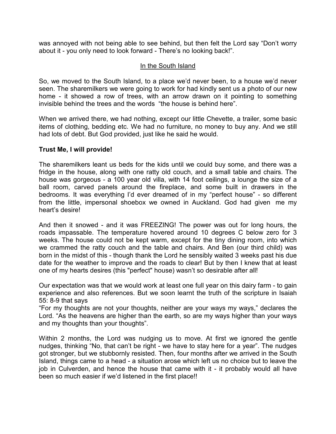was annoyed with not being able to see behind, but then felt the Lord say "Don't worry about it - you only need to look forward - There's no looking back!".

# In the South Island

So, we moved to the South Island, to a place we'd never been, to a house we'd never seen. The sharemilkers we were going to work for had kindly sent us a photo of our new home - it showed a row of trees, with an arrow drawn on it pointing to something invisible behind the trees and the words "the house is behind here".

When we arrived there, we had nothing, except our little Chevette, a trailer, some basic items of clothing, bedding etc. We had no furniture, no money to buy any. And we still had lots of debt. But God provided, just like he said he would.

## **Trust Me, I will provide!**

The sharemilkers leant us beds for the kids until we could buy some, and there was a fridge in the house, along with one ratty old couch, and a small table and chairs. The house was gorgeous - a 100 year old villa, with 14 foot ceilings, a lounge the size of a ball room, carved panels around the fireplace, and some built in drawers in the bedrooms. It was everything I'd ever dreamed of in my "perfect house" - so different from the little, impersonal shoebox we owned in Auckland. God had given me my heart's desire!

And then it snowed - and it was FREEZING! The power was out for long hours, the roads impassable. The temperature hovered around 10 degrees C below zero for 3 weeks. The house could not be kept warm, except for the tiny dining room, into which we crammed the ratty couch and the table and chairs. And Ben (our third child) was born in the midst of this - though thank the Lord he sensibly waited 3 weeks past his due date for the weather to improve and the roads to clear! But by then I knew that at least one of my hearts desires (this "perfect" house) wasn't so desirable after all!

Our expectation was that we would work at least one full year on this dairy farm - to gain experience and also references. But we soon learnt the truth of the scripture in Isaiah 55: 8-9 that says

"For my thoughts are not your thoughts, neither are your ways my ways," declares the Lord. "As the heavens are higher than the earth, so are my ways higher than your ways and my thoughts than your thoughts".

Within 2 months, the Lord was nudging us to move. At first we ignored the gentle nudges, thinking "No, that can't be right - we have to stay here for a year". The nudges got stronger, but we stubbornly resisted. Then, four months after we arrived in the South Island, things came to a head - a situation arose which left us no choice but to leave the job in Culverden, and hence the house that came with it - it probably would all have been so much easier if we'd listened in the first place!!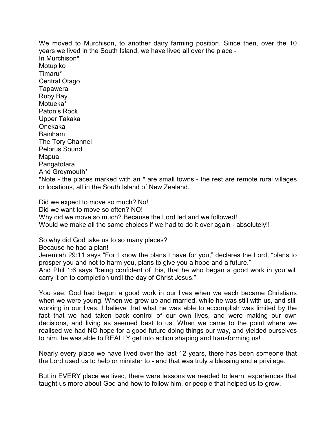We moved to Murchison, to another dairy farming position. Since then, over the 10 years we lived in the South Island, we have lived all over the place - In Murchison\* Motupiko Timaru\* Central Otago **Tapawera** Ruby Bay Motueka\* Paton's Rock Upper Takaka Onekaka Bainham The Tory Channel Pelorus Sound Mapua Pangatotara And Greymouth\* \*Note - the places marked with an \* are small towns - the rest are remote rural villages or locations, all in the South Island of New Zealand.

Did we expect to move so much? No! Did we want to move so often? NO! Why did we move so much? Because the Lord led and we followed! Would we make all the same choices if we had to do it over again - absolutely!!

So why did God take us to so many places?

Because he had a plan!

Jeremiah 29:11 says "For I know the plans I have for you," declares the Lord, "plans to prosper you and not to harm you, plans to give you a hope and a future."

And Phil 1:6 says "being confident of this, that he who began a good work in you will carry it on to completion until the day of Christ Jesus."

You see, God had begun a good work in our lives when we each became Christians when we were young. When we grew up and married, while he was still with us, and still working in our lives, I believe that what he was able to accomplish was limited by the fact that we had taken back control of our own lives, and were making our own decisions, and living as seemed best to us. When we came to the point where we realised we had NO hope for a good future doing things our way, and yielded ourselves to him, he was able to REALLY get into action shaping and transforming us!

Nearly every place we have lived over the last 12 years, there has been someone that the Lord used us to help or minister to - and that was truly a blessing and a privilege.

But in EVERY place we lived, there were lessons we needed to learn, experiences that taught us more about God and how to follow him, or people that helped us to grow.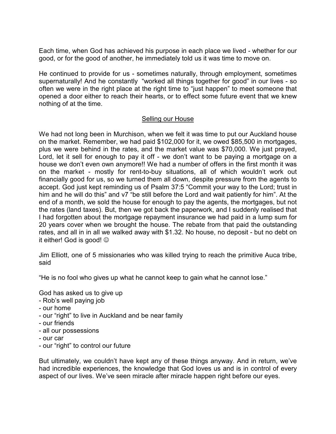Each time, when God has achieved his purpose in each place we lived - whether for our good, or for the good of another, he immediately told us it was time to move on.

He continued to provide for us - sometimes naturally, through employment, sometimes supernaturally! And he constantly "worked all things together for good" in our lives - so often we were in the right place at the right time to "just happen" to meet someone that opened a door either to reach their hearts, or to effect some future event that we knew nothing of at the time.

# Selling our House

We had not long been in Murchison, when we felt it was time to put our Auckland house on the market. Remember, we had paid \$102,000 for it, we owed \$85,500 in mortgages, plus we were behind in the rates, and the market value was \$70,000. We just prayed, Lord, let it sell for enough to pay it off - we don't want to be paying a mortgage on a house we don't even own anymore!! We had a number of offers in the first month it was on the market - mostly for rent-to-buy situations, all of which wouldn't work out financially good for us, so we turned them all down, despite pressure from the agents to accept. God just kept reminding us of Psalm 37:5 "Commit your way to the Lord; trust in him and he will do this" and v7 "be still before the Lord and wait patiently for him". At the end of a month, we sold the house for enough to pay the agents, the mortgages, but not the rates (land taxes). But, then we got back the paperwork, and I suddenly realised that I had forgotten about the mortgage repayment insurance we had paid in a lump sum for 20 years cover when we brought the house. The rebate from that paid the outstanding rates, and all in in all we walked away with \$1.32. No house, no deposit - but no debt on it either! God is good!  $\odot$ 

Jim Elliott, one of 5 missionaries who was killed trying to reach the primitive Auca tribe, said

"He is no fool who gives up what he cannot keep to gain what he cannot lose."

God has asked us to give up

- Rob's well paying job
- our home
- our "right" to live in Auckland and be near family
- our friends
- all our possessions
- our car
- our "right" to control our future

But ultimately, we couldn't have kept any of these things anyway. And in return, we've had incredible experiences, the knowledge that God loves us and is in control of every aspect of our lives. We've seen miracle after miracle happen right before our eyes.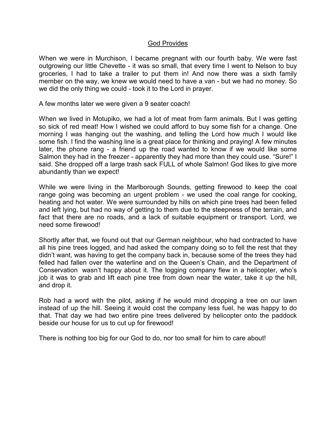### God Provides

When we were in Murchison, I became pregnant with our fourth baby. We were fast outgrowing our little Chevette - it was so small, that every time I went to Nelson to buy groceries, I had to take a trailer to put them in! And now there was a sixth family member on the way, we knew we would need to have a van - but we had no money. So we did the only thing we could - took it to the Lord in prayer.

A few months later we were given a 9 seater coach!

When we lived in Motupiko, we had a lot of meat from farm animals. But I was getting so sick of red meat! How I wished we could afford to buy some fish for a change. One morning I was hanging out the washing, and telling the Lord how much I would like some fish. I find the washing line is a great place for thinking and praying! A few minutes later, the phone rang - a friend up the road wanted to know if we would like some Salmon they had in the freezer - apparently they had more than they could use. "Sure!" I said. She dropped off a large trash sack FULL of whole Salmon! God likes to give more abundantly than we expect!

While we were living in the Marlborough Sounds, getting firewood to keep the coal range going was becoming an urgent problem - we used the coal range for cooking, heating and hot water. We were surrounded by hills on which pine trees had been felled and left lying, but had no way of getting to them due to the steepness of the terrain, and fact that there are no roads, and a lack of suitable equipment or transport. Lord, we need some firewood!

Shortly after that, we found out that our German neighbour, who had contracted to have all his pine trees logged, and had asked the company doing so to fell the rest that they didn't want, was having to get the company back in, because some of the trees they had felled had fallen over the waterline and on the Queen's Chain, and the Department of Conservation wasn't happy about it. The logging company flew in a helicopter, who's job it was to grab and lift each pine tree from down near the water, take it up the hill, and drop it.

Rob had a word with the pilot, asking if he would mind dropping a tree on our lawn instead of up the hill. Seeing it would cost the company less fuel, he was happy to do that. That day we had two entire pine trees delivered by helicopter onto the paddock beside our house for us to cut up for firewood!

There is nothing too big for our God to do, nor too small for him to care about!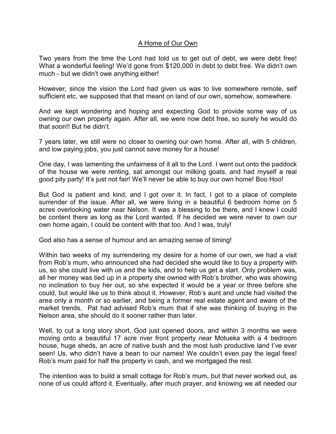# A Home of Our Own

Two years from the time the Lord had told us to get out of debt, we were debt free! What a wonderful feeling! We'd gone from \$120,000 in debt to debt free. We didn't own much - but we didn't owe anything either!

However, since the vision the Lord had given us was to live somewhere remote, self sufficient etc, we supposed that that meant on land of our own, somehow, somewhere.

And we kept wondering and hoping and expecting God to provide some way of us owning our own property again. After all, we were now debt free, so surely he would do that soon!! But he didn't.

7 years later, we still were no closer to owning our own home. After all, with 5 children, and low paying jobs, you just cannot save money for a house!

One day, I was lamenting the unfairness of it all to the Lord. I went out onto the paddock of the house we were renting, sat amongst our milking goats, and had myself a real good pity party! It's just not fair! We'll never be able to buy our own home! Boo Hoo!

But God is patient and kind, and I got over it. In fact, I got to a place of complete surrender of the issue. After all, we were living in a beautiful 6 bedroom home on 5 acres overlooking water near Nelson. It was a blessing to be there, and I knew I could be content there as long as the Lord wanted. If he decided we were never to own our own home again, I could be content with that too. And I was, truly!

God also has a sense of humour and an amazing sense of timing!

Within two weeks of my surrendering my desire for a home of our own, we had a visit from Rob's mum, who announced she had decided she would like to buy a property with us, so she could live with us and the kids, and to help us get a start. Only problem was, all her money was tied up in a property she owned with Rob's brother, who was showing no inclination to buy her out, so she expected it would be a year or three before she could, but would like us to think about it. However, Rob's aunt and uncle had visited the area only a month or so earlier, and being a former real estate agent and aware of the market trends, Pat had advised Rob's mum that if she was thinking of buying in the Nelson area, she should do it sooner rather than later.

Well, to cut a long story short, God just opened doors, and within 3 months we were moving onto a beautiful 17 acre river front property near Motueka with a 4 bedroom house, huge sheds, an acre of native bush and the most lush productive land I've ever seen! Us, who didn't have a bean to our names! We couldn't even pay the legal fees! Rob's mum paid for half the property in cash, and we mortgaged the rest.

The intention was to build a small cottage for Rob's mum, but that never worked out, as none of us could afford it. Eventually, after much prayer, and knowing we all needed our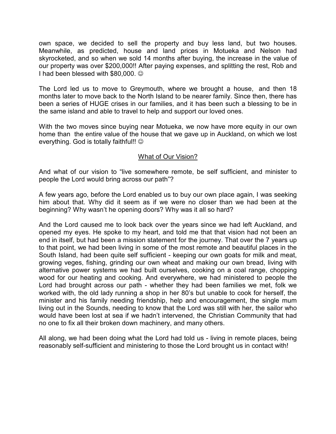own space, we decided to sell the property and buy less land, but two houses. Meanwhile, as predicted, house and land prices in Motueka and Nelson had skyrocketed, and so when we sold 14 months after buying, the increase in the value of our property was over \$200,000!! After paying expenses, and splitting the rest, Rob and I had been blessed with  $$80,000$ .  $\odot$ 

The Lord led us to move to Greymouth, where we brought a house, and then 18 months later to move back to the North Island to be nearer family. Since then, there has been a series of HUGE crises in our families, and it has been such a blessing to be in the same island and able to travel to help and support our loved ones.

With the two moves since buying near Motueka, we now have more equity in our own home than the entire value of the house that we gave up in Auckland, on which we lost everything. God is totally faithful!!  $\odot$ 

## What of Our Vision?

And what of our vision to "live somewhere remote, be self sufficient, and minister to people the Lord would bring across our path"?

A few years ago, before the Lord enabled us to buy our own place again, I was seeking him about that. Why did it seem as if we were no closer than we had been at the beginning? Why wasn't he opening doors? Why was it all so hard?

And the Lord caused me to look back over the years since we had left Auckland, and opened my eyes. He spoke to my heart, and told me that that vision had not been an end in itself, but had been a mission statement for the journey. That over the 7 years up to that point, we had been living in some of the most remote and beautiful places in the South Island, had been quite self sufficient - keeping our own goats for milk and meat, growing veges, fishing, grinding our own wheat and making our own bread, living with alternative power systems we had built ourselves, cooking on a coal range, chopping wood for our heating and cooking. And everywhere, we had ministered to people the Lord had brought across our path - whether they had been families we met, folk we worked with, the old lady running a shop in her 80's but unable to cook for herself, the minister and his family needing friendship, help and encouragement, the single mum living out in the Sounds, needing to know that the Lord was still with her, the sailor who would have been lost at sea if we hadn't intervened, the Christian Community that had no one to fix all their broken down machinery, and many others.

All along, we had been doing what the Lord had told us - living in remote places, being reasonably self-sufficient and ministering to those the Lord brought us in contact with!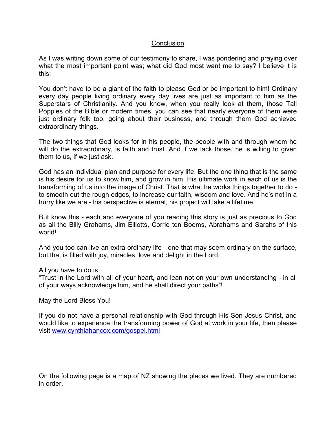### **Conclusion**

As I was writing down some of our testimony to share, I was pondering and praying over what the most important point was; what did God most want me to say? I believe it is this:

You don't have to be a giant of the faith to please God or be important to him! Ordinary every day people living ordinary every day lives are just as important to him as the Superstars of Christianity. And you know, when you really look at them, those Tall Poppies of the Bible or modern times, you can see that nearly everyone of them were just ordinary folk too, going about their business, and through them God achieved extraordinary things.

The two things that God looks for in his people, the people with and through whom he will do the extraordinary, is faith and trust. And if we lack those, he is willing to given them to us, if we just ask.

God has an individual plan and purpose for every life. But the one thing that is the same is his desire for us to know him, and grow in him. His ultimate work in each of us is the transforming of us into the image of Christ. That is what he works things together to do to smooth out the rough edges, to increase our faith, wisdom and love. And he's not in a hurry like we are - his perspective is eternal, his project will take a lifetime.

But know this - each and everyone of you reading this story is just as precious to God as all the Billy Grahams, Jim Elliotts, Corrie ten Booms, Abrahams and Sarahs of this world!

And you too can live an extra-ordinary life - one that may seem ordinary on the surface, but that is filled with joy, miracles, love and delight in the Lord.

All you have to do is

"Trust in the Lord with all of your heart, and lean not on your own understanding - in all of your ways acknowledge him, and he shall direct your paths"!

May the Lord Bless You!

If you do not have a personal relationship with God through His Son Jesus Christ, and would like to experience the transforming power of God at work in your life, then please visit www.cynthiahancox.com/gospel.html

On the following page is a map of NZ showing the places we lived. They are numbered in order.